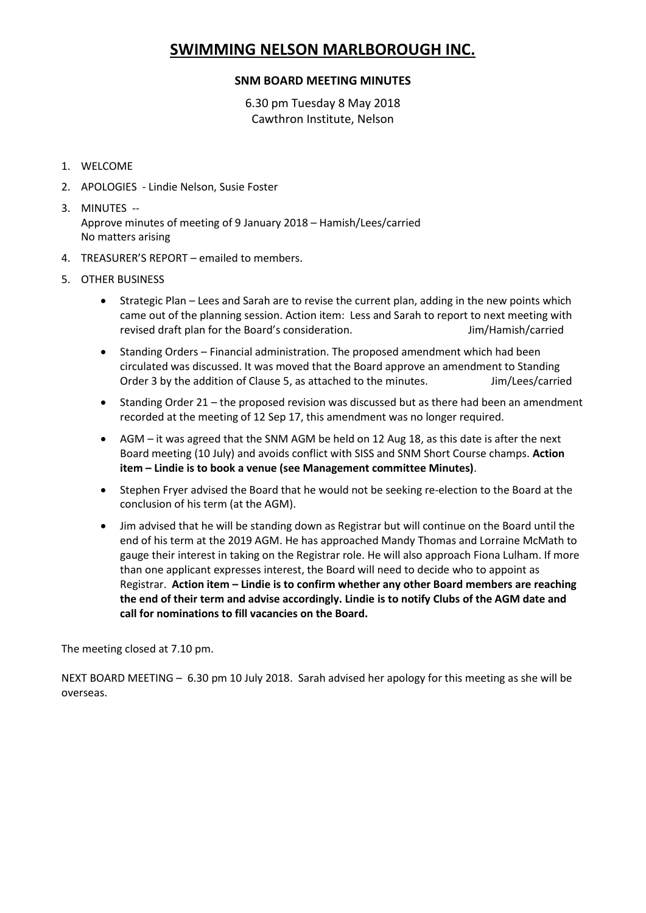## **SWIMMING NELSON MARLBOROUGH INC.**

## **SNM BOARD MEETING MINUTES**

6.30 pm Tuesday 8 May 2018 Cawthron Institute, Nelson

- 1. WELCOME
- 2. APOLOGIES Lindie Nelson, Susie Foster
- 3. MINUTES -- Approve minutes of meeting of 9 January 2018 – Hamish/Lees/carried No matters arising
- 4. TREASURER'S REPORT emailed to members.
- 5. OTHER BUSINESS
	- Strategic Plan Lees and Sarah are to revise the current plan, adding in the new points which came out of the planning session. Action item: Less and Sarah to report to next meeting with revised draft plan for the Board's consideration. The same state of the Minish/carried
	- Standing Orders Financial administration. The proposed amendment which had been circulated was discussed. It was moved that the Board approve an amendment to Standing Order 3 by the addition of Clause 5, as attached to the minutes. Jim/Lees/carried
	- Standing Order 21 the proposed revision was discussed but as there had been an amendment recorded at the meeting of 12 Sep 17, this amendment was no longer required.
	- AGM it was agreed that the SNM AGM be held on 12 Aug 18, as this date is after the next Board meeting (10 July) and avoids conflict with SISS and SNM Short Course champs. **Action item – Lindie is to book a venue (see Management committee Minutes)**.
	- Stephen Fryer advised the Board that he would not be seeking re-election to the Board at the conclusion of his term (at the AGM).
	- Jim advised that he will be standing down as Registrar but will continue on the Board until the end of his term at the 2019 AGM. He has approached Mandy Thomas and Lorraine McMath to gauge their interest in taking on the Registrar role. He will also approach Fiona Lulham. If more than one applicant expresses interest, the Board will need to decide who to appoint as Registrar. **Action item – Lindie is to confirm whether any other Board members are reaching the end of their term and advise accordingly. Lindie is to notify Clubs of the AGM date and call for nominations to fill vacancies on the Board.**

The meeting closed at 7.10 pm.

NEXT BOARD MEETING – 6.30 pm 10 July 2018. Sarah advised her apology for this meeting as she will be overseas.